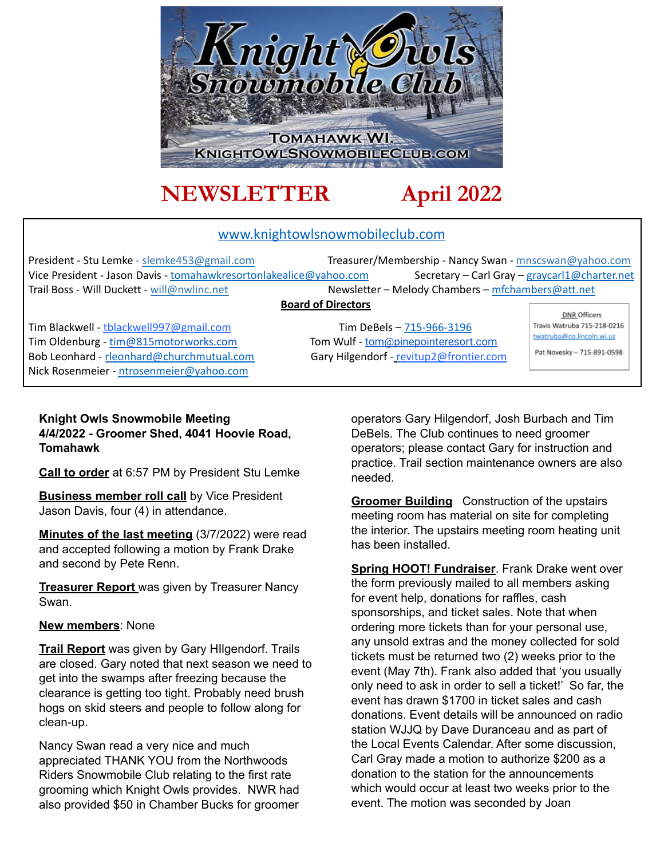

# **NEWSLETTER April 2022**

### www.knightowlsnowmobileclub.com

President - Stu Lemke - slemke453@gmail.com Treasurer/Membership - Nancy Swan - mnscswan@yahoo.com Vice President - Jason Davis - tomahawkresortonlakealice@yahoo.com Secretary – Carl Gray – graycarl1@charter.net Trail Boss - Will Duckett - will@nwlinc.net Newsletter – Melody Chambers – mfchambers@att.net

#### **Board of Directors**

Tim Blackwell - the the Communication of the Communication of the State of Tim DeBels – 715-966-3196 Tim Oldenburg - [tim@815motorworks.com](mailto:tim@815motorworks.com) Tom Wulf - [tom@pinepointeresort.com](mailto:tom@pinepointeresort.com) Bob Leonhard - rleonhard@churchmutual.com Gary Hilgendorf - revitup2@frontier.com Nick Rosenmeier - ntrosenmeier@yahoo.com

DNR Officers Travis Watruba 715-218-0216 twatruba@co.lincoln.wi.us Pat Novesky - 715-891-0598

#### **Knight Owls Snowmobile Meeting 4/4/2022 - Groomer Shed, 4041 Hoovie Road, Tomahawk**

**Call to order** at 6:57 PM by President Stu Lemke

**Business member roll call** by Vice President Jason Davis, four (4) in attendance.

**Minutes of the last meeting** (3/7/2022) were read and accepted following a motion by Frank Drake and second by Pete Renn.

**Treasurer Report** was given by Treasurer Nancy Swan.

#### **New members**: None

**Trail Report** was given by Gary HIlgendorf. Trails are closed. Gary noted that next season we need to get into the swamps after freezing because the clearance is getting too tight. Probably need brush hogs on skid steers and people to follow along for clean-up.

Nancy Swan read a very nice and much appreciated THANK YOU from the Northwoods Riders Snowmobile Club relating to the first rate grooming which Knight Owls provides. NWR had also provided \$50 in Chamber Bucks for groomer

operators Gary Hilgendorf, Josh Burbach and Tim DeBels. The Club continues to need groomer operators; please contact Gary for instruction and practice. Trail section maintenance owners are also needed.

**Groomer Building** Construction of the upstairs meeting room has material on site for completing the interior. The upstairs meeting room heating unit has been installed.

**Spring HOOT! Fundraiser**. Frank Drake went over the form previously mailed to all members asking for event help, donations for raffles, cash sponsorships, and ticket sales. Note that when ordering more tickets than for your personal use, any unsold extras and the money collected for sold tickets must be returned two (2) weeks prior to the event (May 7th). Frank also added that 'you usually only need to ask in order to sell a ticket!' So far, the event has drawn \$1700 in ticket sales and cash donations. Event details will be announced on radio station WJJQ by Dave Duranceau and as part of the Local Events Calendar. After some discussion, Carl Gray made a motion to authorize \$200 as a donation to the station for the announcements which would occur at least two weeks prior to the event. The motion was seconded by Joan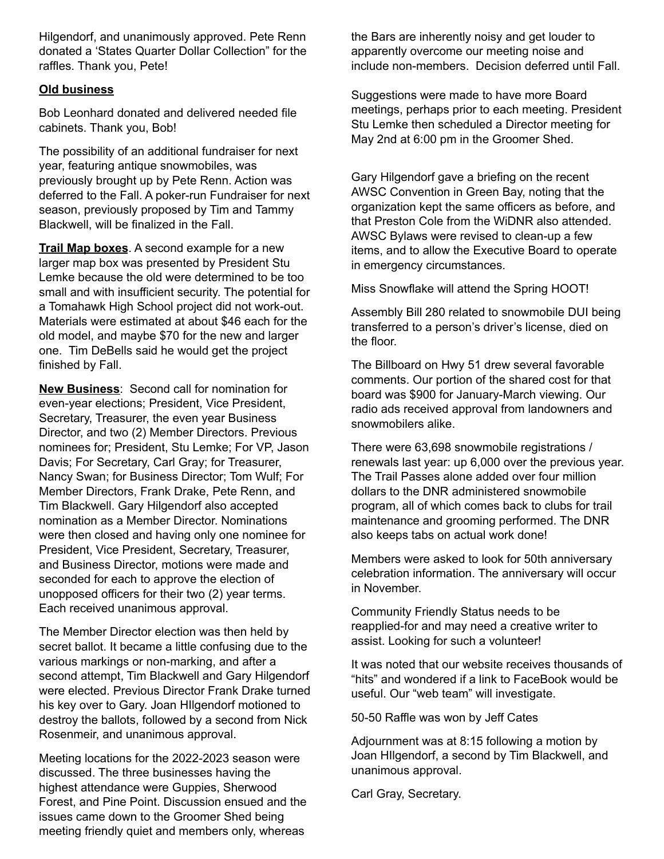Hilgendorf, and unanimously approved. Pete Renn donated a 'States Quarter Dollar Collection" for the raffles. Thank you, Pete!

#### **Old business**

Bob Leonhard donated and delivered needed file cabinets. Thank you, Bob!

The possibility of an additional fundraiser for next year, featuring antique snowmobiles, was previously brought up by Pete Renn. Action was deferred to the Fall. A poker-run Fundraiser for next season, previously proposed by Tim and Tammy Blackwell, will be finalized in the Fall.

**Trail Map boxes**. A second example for a new larger map box was presented by President Stu Lemke because the old were determined to be too small and with insufficient security. The potential for a Tomahawk High School project did not work-out. Materials were estimated at about \$46 each for the old model, and maybe \$70 for the new and larger one. Tim DeBells said he would get the project finished by Fall.

**New Business**: Second call for nomination for even-year elections; President, Vice President, Secretary, Treasurer, the even year Business Director, and two (2) Member Directors. Previous nominees for; President, Stu Lemke; For VP, Jason Davis; For Secretary, Carl Gray; for Treasurer, Nancy Swan; for Business Director; Tom Wulf; For Member Directors, Frank Drake, Pete Renn, and Tim Blackwell. Gary Hilgendorf also accepted nomination as a Member Director. Nominations were then closed and having only one nominee for President, Vice President, Secretary, Treasurer, and Business Director, motions were made and seconded for each to approve the election of unopposed officers for their two (2) year terms. Each received unanimous approval.

The Member Director election was then held by secret ballot. It became a little confusing due to the various markings or non-marking, and after a second attempt, Tim Blackwell and Gary Hilgendorf were elected. Previous Director Frank Drake turned his key over to Gary. Joan HIlgendorf motioned to destroy the ballots, followed by a second from Nick Rosenmeir, and unanimous approval.

Meeting locations for the 2022-2023 season were discussed. The three businesses having the highest attendance were Guppies, Sherwood Forest, and Pine Point. Discussion ensued and the issues came down to the Groomer Shed being meeting friendly quiet and members only, whereas

the Bars are inherently noisy and get louder to apparently overcome our meeting noise and include non-members. Decision deferred until Fall.

Suggestions were made to have more Board meetings, perhaps prior to each meeting. President Stu Lemke then scheduled a Director meeting for May 2nd at 6:00 pm in the Groomer Shed.

Gary Hilgendorf gave a briefing on the recent AWSC Convention in Green Bay, noting that the organization kept the same officers as before, and that Preston Cole from the WiDNR also attended. AWSC Bylaws were revised to clean-up a few items, and to allow the Executive Board to operate in emergency circumstances.

Miss Snowflake will attend the Spring HOOT!

Assembly Bill 280 related to snowmobile DUI being transferred to a person's driver's license, died on the floor.

The Billboard on Hwy 51 drew several favorable comments. Our portion of the shared cost for that board was \$900 for January-March viewing. Our radio ads received approval from landowners and snowmobilers alike.

There were 63,698 snowmobile registrations / renewals last year: up 6,000 over the previous year. The Trail Passes alone added over four million dollars to the DNR administered snowmobile program, all of which comes back to clubs for trail maintenance and grooming performed. The DNR also keeps tabs on actual work done!

Members were asked to look for 50th anniversary celebration information. The anniversary will occur in November.

Community Friendly Status needs to be reapplied-for and may need a creative writer to assist. Looking for such a volunteer!

It was noted that our website receives thousands of "hits" and wondered if a link to FaceBook would be useful. Our "web team" will investigate.

50-50 Raffle was won by Jeff Cates

Adjournment was at 8:15 following a motion by Joan HIlgendorf, a second by Tim Blackwell, and unanimous approval.

Carl Gray, Secretary.